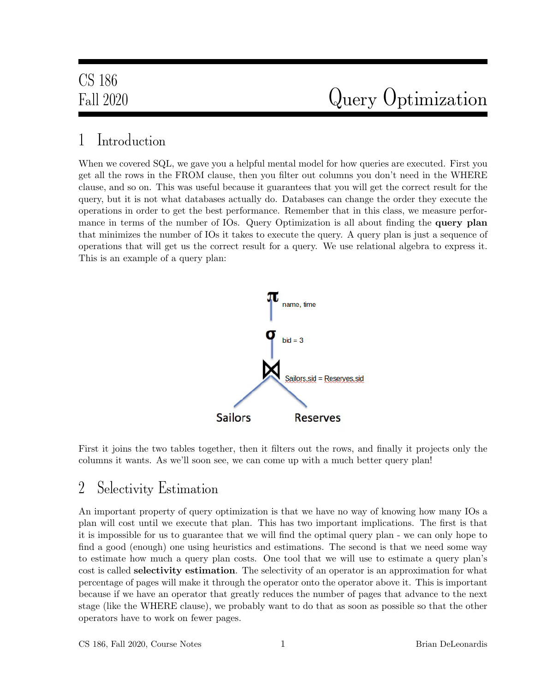## 1 Introduction

When we covered SQL, we gave you a helpful mental model for how queries are executed. First you get all the rows in the FROM clause, then you filter out columns you don't need in the WHERE clause, and so on. This was useful because it guarantees that you will get the correct result for the query, but it is not what databases actually do. Databases can change the order they execute the operations in order to get the best performance. Remember that in this class, we measure performance in terms of the number of IOs. Query Optimization is all about finding the **query plan** that minimizes the number of IOs it takes to execute the query. A query plan is just a sequence of operations that will get us the correct result for a query. We use relational algebra to express it. This is an example of a query plan:



First it joins the two tables together, then it filters out the rows, and finally it projects only the columns it wants. As we'll soon see, we can come up with a much better query plan!

## 2 Selectivity Estimation

An important property of query optimization is that we have no way of knowing how many IOs a plan will cost until we execute that plan. This has two important implications. The first is that it is impossible for us to guarantee that we will find the optimal query plan - we can only hope to find a good (enough) one using heuristics and estimations. The second is that we need some way to estimate how much a query plan costs. One tool that we will use to estimate a query plan's cost is called selectivity estimation. The selectivity of an operator is an approximation for what percentage of pages will make it through the operator onto the operator above it. This is important because if we have an operator that greatly reduces the number of pages that advance to the next stage (like the WHERE clause), we probably want to do that as soon as possible so that the other operators have to work on fewer pages.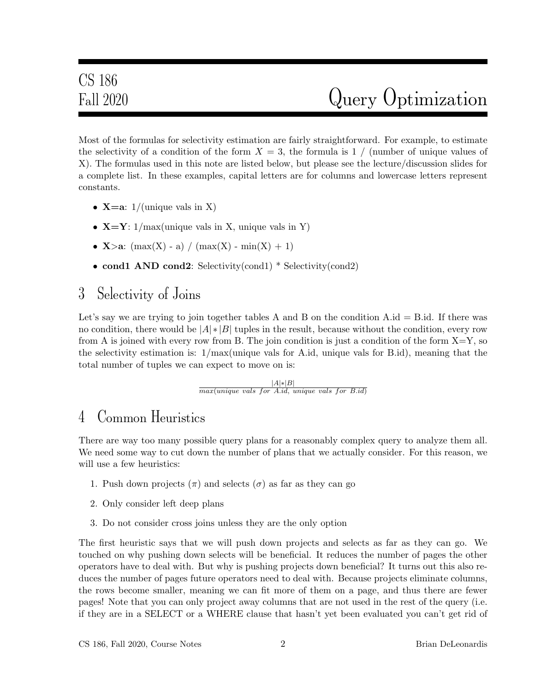Most of the formulas for selectivity estimation are fairly straightforward. For example, to estimate the selectivity of a condition of the form  $X = 3$ , the formula is 1 / (number of unique values of X). The formulas used in this note are listed below, but please see the lecture/discussion slides for a complete list. In these examples, capital letters are for columns and lowercase letters represent constants.

- **X**=a:  $1/$ (unique vals in X)
- $X=Y: 1/max$  unique vals in X, unique vals in Y)
- **X**>a:  $(\max(X) a) / (\max(X) \min(X) + 1)$
- cond1 AND cond2: Selectivity(cond1) \* Selectivity(cond2)

### 3 Selectivity of Joins

Let's say we are trying to join together tables A and B on the condition  $A.id = B.id$ . If there was no condition, there would be  $|A| * |B|$  tuples in the result, because without the condition, every row from A is joined with every row from B. The join condition is just a condition of the form  $X=Y$ , so the selectivity estimation is: 1/max(unique vals for A.id, unique vals for B.id), meaning that the total number of tuples we can expect to move on is:

> |A|∗|B|  $max(unique\ vals\ for\ A.id, unique\ vals\ for\ B.id)$

## 4 Common Heuristics

There are way too many possible query plans for a reasonably complex query to analyze them all. We need some way to cut down the number of plans that we actually consider. For this reason, we will use a few heuristics:

- 1. Push down projects  $(\pi)$  and selects  $(\sigma)$  as far as they can go
- 2. Only consider left deep plans
- 3. Do not consider cross joins unless they are the only option

The first heuristic says that we will push down projects and selects as far as they can go. We touched on why pushing down selects will be beneficial. It reduces the number of pages the other operators have to deal with. But why is pushing projects down beneficial? It turns out this also reduces the number of pages future operators need to deal with. Because projects eliminate columns, the rows become smaller, meaning we can fit more of them on a page, and thus there are fewer pages! Note that you can only project away columns that are not used in the rest of the query (i.e. if they are in a SELECT or a WHERE clause that hasn't yet been evaluated you can't get rid of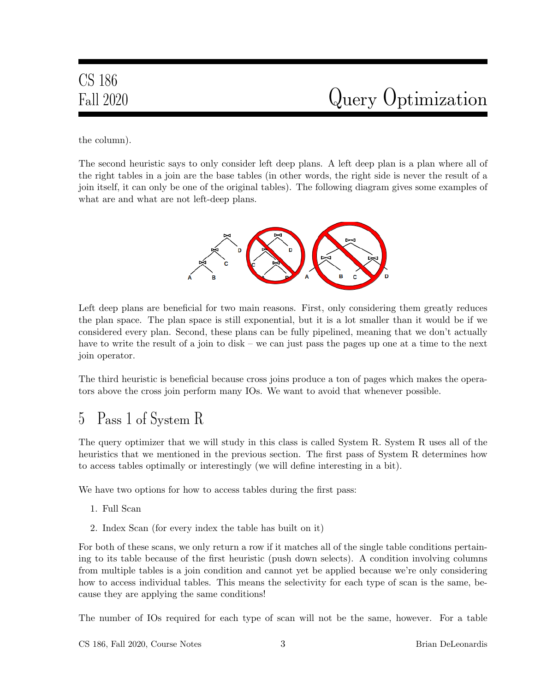# CS 186

the column).

The second heuristic says to only consider left deep plans. A left deep plan is a plan where all of the right tables in a join are the base tables (in other words, the right side is never the result of a join itself, it can only be one of the original tables). The following diagram gives some examples of what are and what are not left-deep plans.



Left deep plans are beneficial for two main reasons. First, only considering them greatly reduces the plan space. The plan space is still exponential, but it is a lot smaller than it would be if we considered every plan. Second, these plans can be fully pipelined, meaning that we don't actually have to write the result of a join to disk – we can just pass the pages up one at a time to the next join operator.

The third heuristic is beneficial because cross joins produce a ton of pages which makes the operators above the cross join perform many IOs. We want to avoid that whenever possible.

## 5 Pass 1 of System R

The query optimizer that we will study in this class is called System R. System R uses all of the heuristics that we mentioned in the previous section. The first pass of System R determines how to access tables optimally or interestingly (we will define interesting in a bit).

We have two options for how to access tables during the first pass:

- 1. Full Scan
- 2. Index Scan (for every index the table has built on it)

For both of these scans, we only return a row if it matches all of the single table conditions pertaining to its table because of the first heuristic (push down selects). A condition involving columns from multiple tables is a join condition and cannot yet be applied because we're only considering how to access individual tables. This means the selectivity for each type of scan is the same, because they are applying the same conditions!

The number of IOs required for each type of scan will not be the same, however. For a table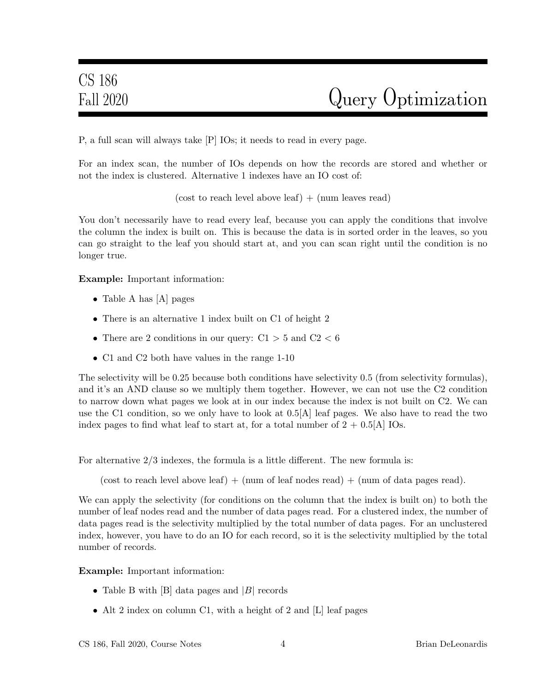P, a full scan will always take [P] IOs; it needs to read in every page.

For an index scan, the number of IOs depends on how the records are stored and whether or not the index is clustered. Alternative 1 indexes have an IO cost of:

 $(\text{cost to reach level above leaf}) + (\text{num leaves read})$ 

You don't necessarily have to read every leaf, because you can apply the conditions that involve the column the index is built on. This is because the data is in sorted order in the leaves, so you can go straight to the leaf you should start at, and you can scan right until the condition is no longer true.

Example: Important information:

- Table A has [A] pages
- There is an alternative 1 index built on C1 of height 2
- There are 2 conditions in our query:  $C1 > 5$  and  $C2 < 6$
- C1 and C2 both have values in the range 1-10

The selectivity will be 0.25 because both conditions have selectivity 0.5 (from selectivity formulas), and it's an AND clause so we multiply them together. However, we can not use the C2 condition to narrow down what pages we look at in our index because the index is not built on C2. We can use the C1 condition, so we only have to look at 0.5[A] leaf pages. We also have to read the two index pages to find what leaf to start at, for a total number of  $2 + 0.5[A]$  IOs.

For alternative 2/3 indexes, the formula is a little different. The new formula is:

(cost to reach level above leaf)  $+$  (num of leaf nodes read)  $+$  (num of data pages read).

We can apply the selectivity (for conditions on the column that the index is built on) to both the number of leaf nodes read and the number of data pages read. For a clustered index, the number of data pages read is the selectivity multiplied by the total number of data pages. For an unclustered index, however, you have to do an IO for each record, so it is the selectivity multiplied by the total number of records.

Example: Important information:

- Table B with  $[B]$  data pages and  $[B]$  records
- Alt 2 index on column C1, with a height of 2 and [L] leaf pages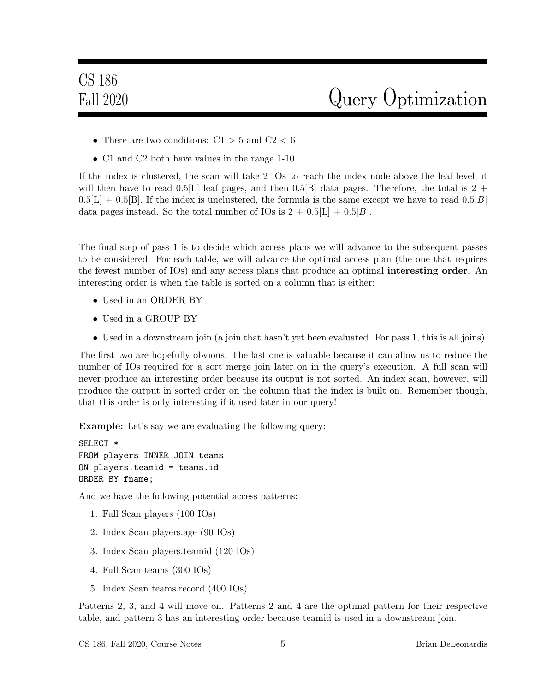- There are two conditions:  $C1 > 5$  and  $C2 < 6$
- C1 and C2 both have values in the range 1-10

If the index is clustered, the scan will take 2 IOs to reach the index node above the leaf level, it will then have to read  $0.5[L]$  leaf pages, and then  $0.5[B]$  data pages. Therefore, the total is 2 +  $0.5[L] + 0.5[B]$ . If the index is unclustered, the formula is the same except we have to read  $0.5[B]$ data pages instead. So the total number of IOs is  $2 + 0.5|L| + 0.5|B|$ .

The final step of pass 1 is to decide which access plans we will advance to the subsequent passes to be considered. For each table, we will advance the optimal access plan (the one that requires the fewest number of IOs) and any access plans that produce an optimal interesting order. An interesting order is when the table is sorted on a column that is either:

- Used in an ORDER BY
- Used in a GROUP BY
- Used in a downstream join (a join that hasn't yet been evaluated. For pass 1, this is all joins).

The first two are hopefully obvious. The last one is valuable because it can allow us to reduce the number of IOs required for a sort merge join later on in the query's execution. A full scan will never produce an interesting order because its output is not sorted. An index scan, however, will produce the output in sorted order on the column that the index is built on. Remember though, that this order is only interesting if it used later in our query!

Example: Let's say we are evaluating the following query:

```
SELECT *
FROM players INNER JOIN teams
ON players.teamid = teams.id
ORDER BY fname;
```
And we have the following potential access patterns:

- 1. Full Scan players (100 IOs)
- 2. Index Scan players.age (90 IOs)
- 3. Index Scan players.teamid (120 IOs)
- 4. Full Scan teams (300 IOs)
- 5. Index Scan teams.record (400 IOs)

Patterns 2, 3, and 4 will move on. Patterns 2 and 4 are the optimal pattern for their respective table, and pattern 3 has an interesting order because teamid is used in a downstream join.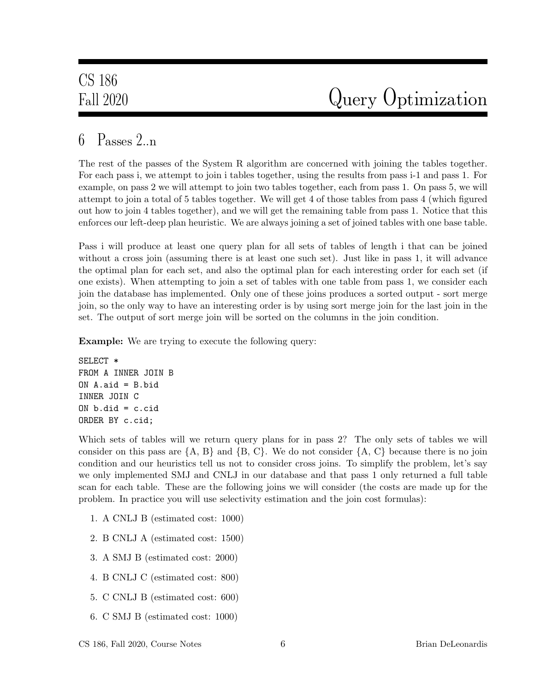### 6  $P$ asses  $2n$

The rest of the passes of the System R algorithm are concerned with joining the tables together. For each pass i, we attempt to join i tables together, using the results from pass i-1 and pass 1. For example, on pass 2 we will attempt to join two tables together, each from pass 1. On pass 5, we will attempt to join a total of 5 tables together. We will get 4 of those tables from pass 4 (which figured out how to join 4 tables together), and we will get the remaining table from pass 1. Notice that this enforces our left-deep plan heuristic. We are always joining a set of joined tables with one base table.

Pass i will produce at least one query plan for all sets of tables of length i that can be joined without a cross join (assuming there is at least one such set). Just like in pass 1, it will advance the optimal plan for each set, and also the optimal plan for each interesting order for each set (if one exists). When attempting to join a set of tables with one table from pass 1, we consider each join the database has implemented. Only one of these joins produces a sorted output - sort merge join, so the only way to have an interesting order is by using sort merge join for the last join in the set. The output of sort merge join will be sorted on the columns in the join condition.

Example: We are trying to execute the following query:

```
SELECT *
FROM A INNER JOIN B
ON A.aid = B.bid
INNER JOIN C
ON b.did = c.cidORDER BY c.cid;
```
Which sets of tables will we return query plans for in pass 2? The only sets of tables we will consider on this pass are  $\{A, B\}$  and  $\{B, C\}$ . We do not consider  $\{A, C\}$  because there is no join condition and our heuristics tell us not to consider cross joins. To simplify the problem, let's say we only implemented SMJ and CNLJ in our database and that pass 1 only returned a full table scan for each table. These are the following joins we will consider (the costs are made up for the problem. In practice you will use selectivity estimation and the join cost formulas):

- 1. A CNLJ B (estimated cost: 1000)
- 2. B CNLJ A (estimated cost: 1500)
- 3. A SMJ B (estimated cost: 2000)
- 4. B CNLJ C (estimated cost: 800)
- 5. C CNLJ B (estimated cost: 600)
- 6. C SMJ B (estimated cost: 1000)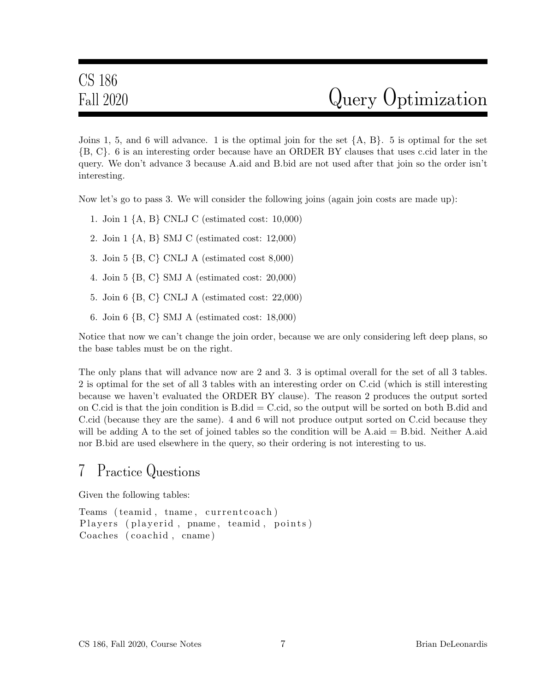Joins 1, 5, and 6 will advance. 1 is the optimal join for the set  $\{A, B\}$ . 5 is optimal for the set {B, C}. 6 is an interesting order because have an ORDER BY clauses that uses c.cid later in the query. We don't advance 3 because A.aid and B.bid are not used after that join so the order isn't interesting.

Now let's go to pass 3. We will consider the following joins (again join costs are made up):

- 1. Join 1 {A, B} CNLJ C (estimated cost: 10,000)
- 2. Join 1 {A, B} SMJ C (estimated cost: 12,000)
- 3. Join 5 {B, C} CNLJ A (estimated cost 8,000)
- 4. Join 5 {B, C} SMJ A (estimated cost: 20,000)
- 5. Join 6 {B, C} CNLJ A (estimated cost: 22,000)
- 6. Join 6 {B, C} SMJ A (estimated cost: 18,000)

Notice that now we can't change the join order, because we are only considering left deep plans, so the base tables must be on the right.

The only plans that will advance now are 2 and 3. 3 is optimal overall for the set of all 3 tables. 2 is optimal for the set of all 3 tables with an interesting order on C.cid (which is still interesting because we haven't evaluated the ORDER BY clause). The reason 2 produces the output sorted on C.cid is that the join condition is  $B$ .did  $=C$ .cid, so the output will be sorted on both  $B$ .did and C.cid (because they are the same). 4 and 6 will not produce output sorted on C.cid because they will be adding A to the set of joined tables so the condition will be A.aid = B.bid. Neither A.aid nor B.bid are used elsewhere in the query, so their ordering is not interesting to us.

### 7 Practice Questions

Given the following tables:

Teams (teamid, tname, current coach) Players (playerid, pname, teamid, points) Coaches (coachid, cname)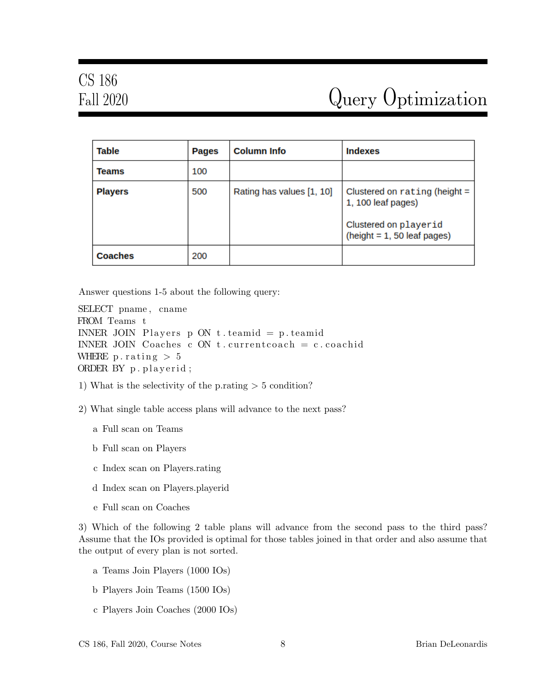| <b>Table</b>   | Pages | <b>Column Info</b>        | <b>Indexes</b>                                                                                                  |
|----------------|-------|---------------------------|-----------------------------------------------------------------------------------------------------------------|
| <b>Teams</b>   | 100   |                           |                                                                                                                 |
| <b>Players</b> | 500   | Rating has values [1, 10] | Clustered on rating (height $=$<br>1, 100 leaf pages)<br>Clustered on playerid<br>$(height = 1, 50 leaf pages)$ |
| <b>Coaches</b> | 200   |                           |                                                                                                                 |

Answer questions 1-5 about the following query:

SELECT pname , cname FROM Teams t INNER JOIN Players p ON t teamid  $= p$  teamid INNER JOIN Coaches c ON t currentcoach = c coachid WHERE p. rating  $> 5$ ORDER BY p. playerid;

1) What is the selectivity of the p.rating  $> 5$  condition?

2) What single table access plans will advance to the next pass?

- a Full scan on Teams
- b Full scan on Players
- c Index scan on Players.rating
- d Index scan on Players.playerid
- e Full scan on Coaches

3) Which of the following 2 table plans will advance from the second pass to the third pass? Assume that the IOs provided is optimal for those tables joined in that order and also assume that the output of every plan is not sorted.

- a Teams Join Players (1000 IOs)
- b Players Join Teams (1500 IOs)
- c Players Join Coaches (2000 IOs)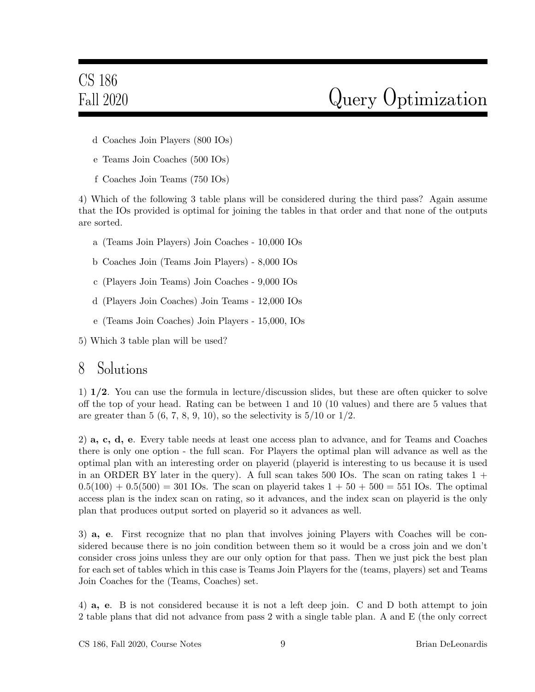- d Coaches Join Players (800 IOs)
- e Teams Join Coaches (500 IOs)
- f Coaches Join Teams (750 IOs)

4) Which of the following 3 table plans will be considered during the third pass? Again assume that the IOs provided is optimal for joining the tables in that order and that none of the outputs are sorted.

- a (Teams Join Players) Join Coaches 10,000 IOs
- b Coaches Join (Teams Join Players) 8,000 IOs
- c (Players Join Teams) Join Coaches 9,000 IOs
- d (Players Join Coaches) Join Teams 12,000 IOs
- e (Teams Join Coaches) Join Players 15,000, IOs
- 5) Which 3 table plan will be used?

#### 8 Solutions

1) 1/2. You can use the formula in lecture/discussion slides, but these are often quicker to solve off the top of your head. Rating can be between 1 and 10 (10 values) and there are 5 values that are greater than 5  $(6, 7, 8, 9, 10)$ , so the selectivity is  $5/10$  or  $1/2$ .

2) a, c, d, e. Every table needs at least one access plan to advance, and for Teams and Coaches there is only one option - the full scan. For Players the optimal plan will advance as well as the optimal plan with an interesting order on playerid (playerid is interesting to us because it is used in an ORDER BY later in the query). A full scan takes 500 IOs. The scan on rating takes  $1 +$  $0.5(100) + 0.5(500) = 301$  IOs. The scan on playerid takes  $1 + 50 + 500 = 551$  IOs. The optimal access plan is the index scan on rating, so it advances, and the index scan on playerid is the only plan that produces output sorted on playerid so it advances as well.

3) a, e. First recognize that no plan that involves joining Players with Coaches will be considered because there is no join condition between them so it would be a cross join and we don't consider cross joins unless they are our only option for that pass. Then we just pick the best plan for each set of tables which in this case is Teams Join Players for the (teams, players) set and Teams Join Coaches for the (Teams, Coaches) set.

4) a, e. B is not considered because it is not a left deep join. C and D both attempt to join 2 table plans that did not advance from pass 2 with a single table plan. A and E (the only correct